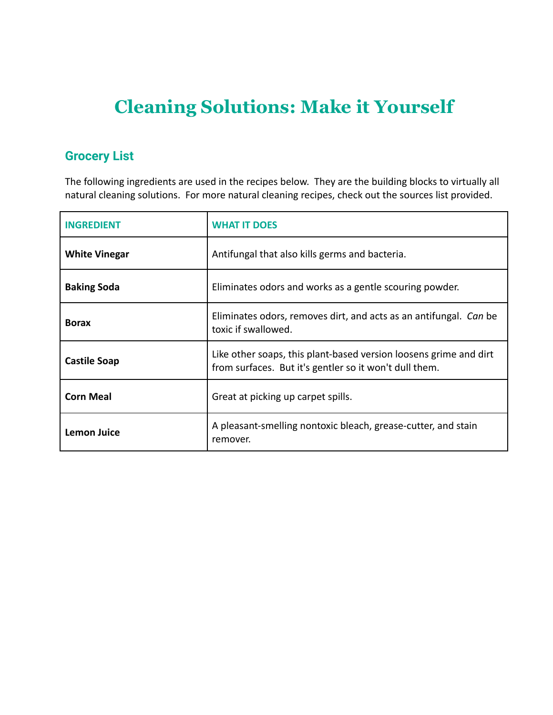## **Cleaning Solutions: Make it Yourself**

#### **Grocery List**

The following ingredients are used in the recipes below. They are the building blocks to virtually all natural cleaning solutions. For more natural cleaning recipes, check out the sources list provided.

| <b>INGREDIENT</b>    | <b>WHAT IT DOES</b>                                                                                                         |
|----------------------|-----------------------------------------------------------------------------------------------------------------------------|
| <b>White Vinegar</b> | Antifungal that also kills germs and bacteria.                                                                              |
| <b>Baking Soda</b>   | Eliminates odors and works as a gentle scouring powder.                                                                     |
| <b>Borax</b>         | Eliminates odors, removes dirt, and acts as an antifungal. Can be<br>toxic if swallowed.                                    |
| <b>Castile Soap</b>  | Like other soaps, this plant-based version loosens grime and dirt<br>from surfaces. But it's gentler so it won't dull them. |
| <b>Corn Meal</b>     | Great at picking up carpet spills.                                                                                          |
| <b>Lemon Juice</b>   | A pleasant-smelling nontoxic bleach, grease-cutter, and stain<br>remover.                                                   |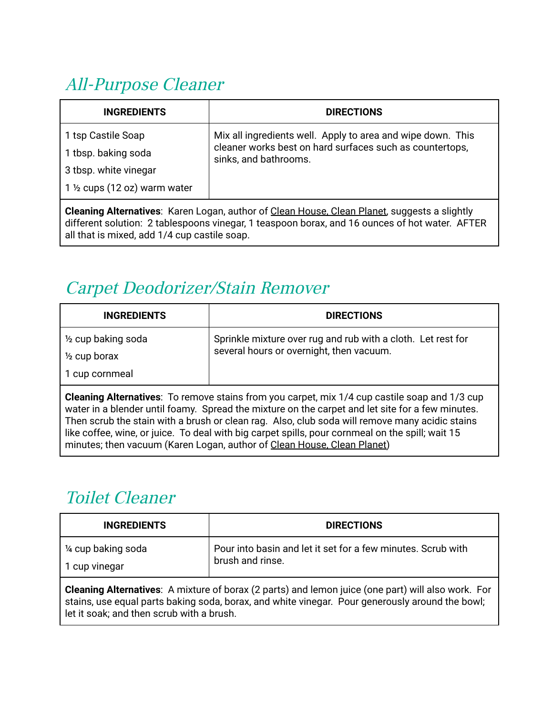# All-Purpose Cleaner

| <b>INGREDIENTS</b>                                                                                  | <b>DIRECTIONS</b>                                                                                                                                |  |
|-----------------------------------------------------------------------------------------------------|--------------------------------------------------------------------------------------------------------------------------------------------------|--|
| 1 tsp Castile Soap<br>1 tbsp. baking soda                                                           | Mix all ingredients well. Apply to area and wipe down. This<br>cleaner works best on hard surfaces such as countertops,<br>sinks, and bathrooms. |  |
| 3 tbsp. white vinegar<br>$1\frac{1}{2}$ cups (12 oz) warm water                                     |                                                                                                                                                  |  |
| <b>Cleaning Alternatives:</b> Karen Logan, author of Clean House, Clean Planet, suggests a slightly |                                                                                                                                                  |  |

**Cleaning Alternatives**: Karen Logan, author of Clean House, Clean Planet, suggests a slightly different solution: 2 tablespoons vinegar, 1 teaspoon borax, and 16 ounces of hot water. AFTER all that is mixed, add 1/4 cup castile soap.

### Carpet Deodorizer/Stain Remover

| <b>INGREDIENTS</b>                                                                                                                                                                                                                                                                                                                                                                                                                                                                        | <b>DIRECTIONS</b>                                                                                        |  |
|-------------------------------------------------------------------------------------------------------------------------------------------------------------------------------------------------------------------------------------------------------------------------------------------------------------------------------------------------------------------------------------------------------------------------------------------------------------------------------------------|----------------------------------------------------------------------------------------------------------|--|
| 1/2 cup baking soda<br>$\frac{1}{2}$ cup borax<br>1 cup cornmeal                                                                                                                                                                                                                                                                                                                                                                                                                          | Sprinkle mixture over rug and rub with a cloth. Let rest for<br>several hours or overnight, then vacuum. |  |
| <b>Cleaning Alternatives:</b> To remove stains from you carpet, mix 1/4 cup castile soap and 1/3 cup<br>water in a blender until foamy. Spread the mixture on the carpet and let site for a few minutes.<br>Then scrub the stain with a brush or clean rag. Also, club soda will remove many acidic stains<br>like coffee, wine, or juice. To deal with big carpet spills, pour cornmeal on the spill; wait 15<br>minutes; then vacuum (Karen Logan, author of Clean House, Clean Planet) |                                                                                                          |  |

#### Toilet Cleaner

| <b>DIRECTIONS</b>                                                                |
|----------------------------------------------------------------------------------|
| Pour into basin and let it set for a few minutes. Scrub with<br>brush and rinse. |
|                                                                                  |

**Cleaning Alternatives**: A mixture of borax (2 parts) and lemon juice (one part) will also work. For stains, use equal parts baking soda, borax, and white vinegar. Pour generously around the bowl; let it soak; and then scrub with a brush.